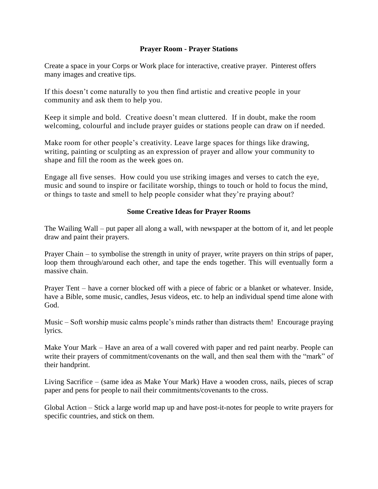#### **Prayer Room - Prayer Stations**

Create a space in your Corps or Work place for interactive, creative prayer. Pinterest offers many images and creative tips.

If this doesn't come naturally to you then find artistic and creative people in your community and ask them to help you.

Keep it simple and bold. Creative doesn't mean cluttered. If in doubt, make the room welcoming, colourful and include prayer guides or stations people can draw on if needed.

Make room for other people's creativity. Leave large spaces for things like drawing, writing, painting or sculpting as an expression of prayer and allow your community to shape and fill the room as the week goes on.

Engage all five senses. How could you use striking images and verses to catch the eye, music and sound to inspire or facilitate worship, things to touch or hold to focus the mind, or things to taste and smell to help people consider what they're praying about?

#### **Some Creative Ideas for Prayer Rooms**

The Wailing Wall – put paper all along a wall, with newspaper at the bottom of it, and let people draw and paint their prayers.

Prayer Chain – to symbolise the strength in unity of prayer, write prayers on thin strips of paper, loop them through/around each other, and tape the ends together. This will eventually form a massive chain.

Prayer Tent – have a corner blocked off with a piece of fabric or a blanket or whatever. Inside, have a Bible, some music, candles, Jesus videos, etc. to help an individual spend time alone with God.

Music – Soft worship music calms people's minds rather than distracts them! Encourage praying lyrics.

Make Your Mark – Have an area of a wall covered with paper and red paint nearby. People can write their prayers of commitment/covenants on the wall, and then seal them with the "mark" of their handprint.

Living Sacrifice – (same idea as Make Your Mark) Have a wooden cross, nails, pieces of scrap paper and pens for people to nail their commitments/covenants to the cross.

Global Action – Stick a large world map up and have post-it-notes for people to write prayers for specific countries, and stick on them.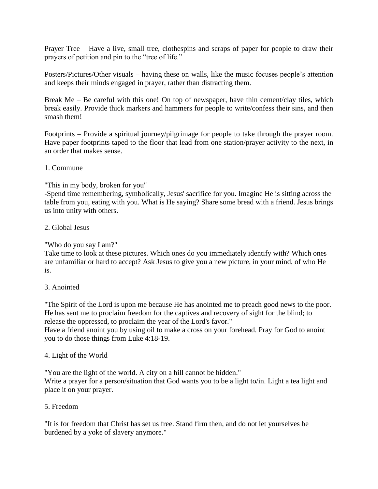Prayer Tree – Have a live, small tree, clothespins and scraps of paper for people to draw their prayers of petition and pin to the "tree of life."

Posters/Pictures/Other visuals – having these on walls, like the music focuses people's attention and keeps their minds engaged in prayer, rather than distracting them.

Break Me – Be careful with this one! On top of newspaper, have thin cement/clay tiles, which break easily. Provide thick markers and hammers for people to write/confess their sins, and then smash them!

Footprints – Provide a spiritual journey/pilgrimage for people to take through the prayer room. Have paper footprints taped to the floor that lead from one station/prayer activity to the next, in an order that makes sense.

## 1. Commune

# "This in my body, broken for you"

-Spend time remembering, symbolically, Jesus' sacrifice for you. Imagine He is sitting across the table from you, eating with you. What is He saying? Share some bread with a friend. Jesus brings us into unity with others.

## 2. Global Jesus

"Who do you say I am?"

Take time to look at these pictures. Which ones do you immediately identify with? Which ones are unfamiliar or hard to accept? Ask Jesus to give you a new picture, in your mind, of who He is.

## 3. Anointed

"The Spirit of the Lord is upon me because He has anointed me to preach good news to the poor. He has sent me to proclaim freedom for the captives and recovery of sight for the blind; to release the oppressed, to proclaim the year of the Lord's favor."

Have a friend anoint you by using oil to make a cross on your forehead. Pray for God to anoint you to do those things from Luke 4:18-19.

# 4. Light of the World

"You are the light of the world. A city on a hill cannot be hidden." Write a prayer for a person/situation that God wants you to be a light to/in. Light a tea light and place it on your prayer.

## 5. Freedom

"It is for freedom that Christ has set us free. Stand firm then, and do not let yourselves be burdened by a yoke of slavery anymore."